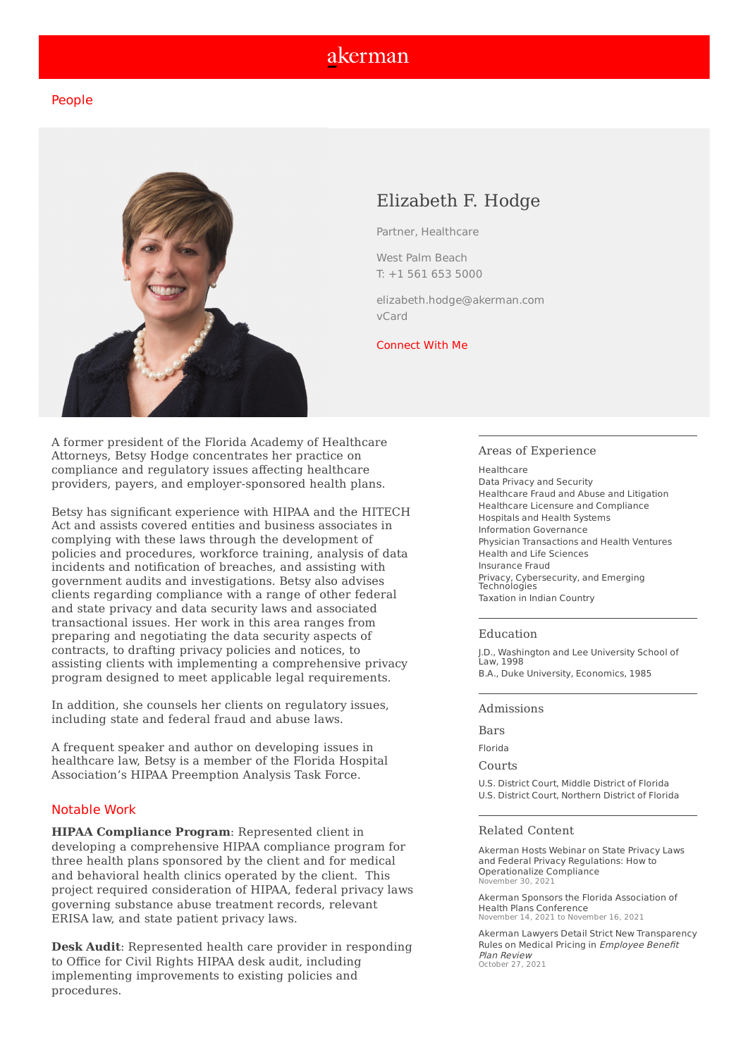# akerman

## People



# Elizabeth F. Hodge

Partner, [Healthcare](https://www.akerman.com/en/work/services/practices/healthcare/index.html)

West Palm [Beach](https://www.akerman.com/en/firm/offices/west-palm-beach.html) T: +1 561 653 [5000](tel:%2B1%20561%20653%205000)

[elizabeth.hodge@akerman.com](mailto:elizabeth.hodge@akerman.com) [vCard](https://www.akerman.com/vcards/702.vcf)

### [Connect](https://www.linkedin.com/in/elizabeth-hodge-26a89438/) With Me

A former president of the Florida Academy of Healthcare Attorneys, Betsy Hodge concentrates her practice on compliance and regulatory issues affecting healthcare providers, payers, and employer-sponsored health plans.

Betsy has significant experience with HIPAA and the HITECH Act and assists covered entities and business associates in complying with these laws through the development of policies and procedures, workforce training, analysis of data incidents and notification of breaches, and assisting with government audits and investigations. Betsy also advises clients regarding compliance with a range of other federal and state privacy and data security laws and associated transactional issues. Her work in this area ranges from preparing and negotiating the data security aspects of contracts, to drafting privacy policies and notices, to assisting clients with implementing a comprehensive privacy program designed to meet applicable legal requirements.

In addition, she counsels her clients on regulatory issues, including state and federal fraud and abuse laws.

A frequent speaker and author on developing issues in healthcare law, Betsy is a member of the Florida Hospital Association's HIPAA Preemption Analysis Task Force.

### Notable Work

**HIPAA Compliance Program**: Represented client in developing a comprehensive HIPAA compliance program for three health plans sponsored by the client and for medical and behavioral health clinics operated by the client. This project required consideration of HIPAA, federal privacy laws governing substance abuse treatment records, relevant ERISA law, and state patient privacy laws.

**Desk Audit**: Represented health care provider in responding to Office for Civil Rights HIPAA desk audit, including implementing improvements to existing policies and procedures.

#### Areas of Experience

**[Healthcare](https://www.akerman.com/en/work/services/practices/healthcare/index.html)** Data Privacy and [Security](https://www.akerman.com/en/work/services/sectors/privacy-cybersecurity-and-emerging-technologies/index.html) [Healthcare](https://www.akerman.com/en/work/services/practices/healthcare/healthcare-fraud-abuse-and-litigation.html) Fraud and Abuse and Litigation Healthcare Licensure and [Compliance](https://www.akerman.com/en/work/services/practices/healthcare/healthcare-compliance.html) [Hospitals](https://www.akerman.com/en/work/services/practices/healthcare/hospitals-health-systems.html) and Health Systems Information [Governance](https://www.akerman.com/en/work/services/practices/litigation/information-governance.html) Physician [Transactions](https://www.akerman.com/en/work/services/practices/healthcare/physician-transactions-health-ventures.html) and Health Ventures Health and Life [Sciences](https://www.akerman.com/en/work/services/sectors/health-and-life-sciences/index.html) [Insurance](https://www.akerman.com/en/work/services/practices/fraud-recovery/insurance-fraud.html) Fraud Privacy, [Cybersecurity,](https://www.akerman.com/en/work/services/practices/products-1/privacy-cybersecurity-and-emerging-technologies.html) and Emerging Technologies [Taxation](https://www.akerman.com/en/work/services/practices/tax/taxation-in-indian-country.html) in Indian Country

#### Education

J.D., Washington and Lee University School of Law, 1998 B.A., Duke University, Economics, 1985

#### Admissions

Bars

Florida

Courts

U.S. District Court, Middle District of Florida U.S. District Court, Northern District of Florida

#### Related Content

Akerman Hosts Webinar on State Privacy Laws and Federal Privacy Regulations: How to [Operationalize](https://www.akerman.com/en/perspectives/akerman-hosts-webinar-on-state-privacy-laws-and-federal-privacy-regulations-how-to-operationalize-compliance.html) Compliance November 30, 2021

Akerman Sponsors the Florida Association of Health Plans [Conference](https://www.akerman.com/en/perspectives/akerman-sponsors-the-florida-association-of-health-plans-annual-conference.html) November 14, 2021 to November 16, 2021

Akerman Lawyers Detail Strict New [Transparency](https://www.akerman.com/en/firm/newsroom/akerman-lawyers-detail-strict-new-transparency-rules-on-medical-pricing-in-employee-benefit-plan-review.html) Rules on Medical Pricing in Employee Benefit Plan Review October 27, 2021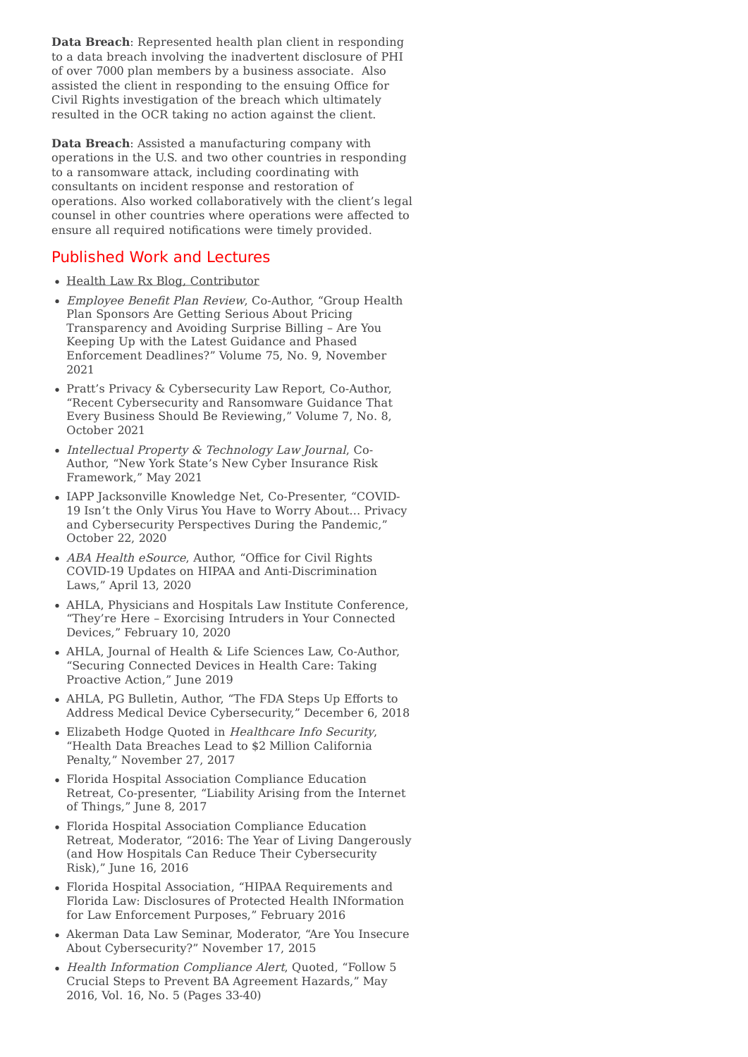**Data Breach**: Represented health plan client in responding to a data breach involving the inadvertent disclosure of PHI of over 7000 plan members by a business associate. Also assisted the client in responding to the ensuing Office for Civil Rights investigation of the breach which ultimately resulted in the OCR taking no action against the client.

**Data Breach**: Assisted a manufacturing company with operations in the U.S. and two other countries in responding to a ransomware attack, including coordinating with consultants on incident response and restoration of operations. Also worked collaboratively with the client's legal counsel in other countries where operations were affected to ensure all required notifications were timely provided.

# Published Work and Lectures

- Health Law Rx Blog, [Contributor](http://www.healthlawrx.com/)
- Employee Benefit Plan Review, Co-Author, "Group Health Plan Sponsors Are Getting Serious About Pricing Transparency and Avoiding Surprise Billing – Are You Keeping Up with the Latest Guidance and Phased Enforcement Deadlines?" Volume 75, No. 9, November 2021
- Pratt's Privacy & Cybersecurity Law Report, Co-Author, "Recent Cybersecurity and Ransomware Guidance That Every Business Should Be Reviewing," Volume 7, No. 8, October 2021
- Intellectual Property & Technology Law Journal, Co-Author, "New York State's New Cyber Insurance Risk Framework," May 2021
- IAPP Jacksonville Knowledge Net, Co-Presenter, "COVID-19 Isn't the Only Virus You Have to Worry About… Privacy and Cybersecurity Perspectives During the Pandemic," October 22, 2020
- ABA Health eSource, Author, "Office for Civil Rights COVID-19 Updates on HIPAA and Anti-Discrimination Laws," April 13, 2020
- AHLA, Physicians and Hospitals Law Institute Conference, "They're Here – Exorcising Intruders in Your Connected Devices," February 10, 2020
- AHLA, Journal of Health & Life Sciences Law, Co-Author, "Securing Connected Devices in Health Care: Taking Proactive Action," June 2019
- AHLA, PG Bulletin, Author, "The FDA Steps Up Efforts to Address Medical Device Cybersecurity," December 6, 2018
- Elizabeth Hodge Quoted in Healthcare Info Security, "Health Data Breaches Lead to \$2 Million California Penalty," November 27, 2017
- Florida Hospital Association Compliance Education Retreat, Co-presenter, "Liability Arising from the Internet of Things," June 8, 2017
- Florida Hospital Association Compliance Education Retreat, Moderator, "2016: The Year of Living Dangerously (and How Hospitals Can Reduce Their Cybersecurity Risk)," June 16, 2016
- Florida Hospital Association, "HIPAA Requirements and Florida Law: Disclosures of Protected Health INformation for Law Enforcement Purposes," February 2016
- Akerman Data Law Seminar, Moderator, "Are You Insecure About Cybersecurity?" November 17, 2015
- Health Information Compliance Alert, Quoted, "Follow 5 Crucial Steps to Prevent BA Agreement Hazards," May 2016, Vol. 16, No. 5 (Pages 33-40)